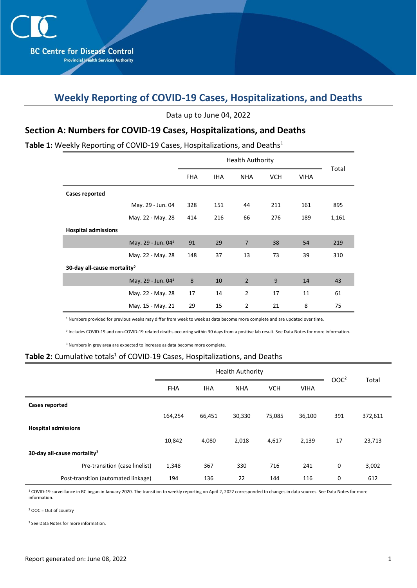# **Weekly Reporting of COVID-19 Cases, Hospitalizations, and Deaths**

Data up to June 04, 2022

### **Section A: Numbers for COVID-19 Cases, Hospitalizations, and Deaths**

#### Table 1: Weekly Reporting of COVID-19 Cases, Hospitalizations, and Deaths<sup>1</sup>

|                                         | <b>FHA</b> | <b>IHA</b> | <b>NHA</b>     | <b>VCH</b> | <b>VIHA</b> | Total |  |  |  |  |
|-----------------------------------------|------------|------------|----------------|------------|-------------|-------|--|--|--|--|
| <b>Cases reported</b>                   |            |            |                |            |             |       |  |  |  |  |
| May. 29 - Jun. 04                       | 328        | 151        | 44             | 211        | 161         | 895   |  |  |  |  |
| May. 22 - May. 28                       | 414        | 216        | 66             | 276        | 189         | 1,161 |  |  |  |  |
| <b>Hospital admissions</b>              |            |            |                |            |             |       |  |  |  |  |
| May. 29 - Jun. 043                      | 91         | 29         | $\overline{7}$ | 38         | 54          | 219   |  |  |  |  |
| May. 22 - May. 28                       | 148        | 37         | 13             | 73         | 39          | 310   |  |  |  |  |
| 30-day all-cause mortality <sup>2</sup> |            |            |                |            |             |       |  |  |  |  |
| May. 29 - Jun. 04 <sup>3</sup>          | 8          | 10         | $\overline{2}$ | 9          | 14          | 43    |  |  |  |  |
| May. 22 - May. 28                       | 17         | 14         | $\overline{2}$ | 17         | 11          | 61    |  |  |  |  |
| May. 15 - May. 21                       | 29         | 15         | $\overline{2}$ | 21         | 8           | 75    |  |  |  |  |

<sup>1</sup> Numbers provided for previous weeks may differ from week to week as data become more complete and are updated over time.

2 Includes COVID-19 and non-COVID-19 related deaths occurring within 30 days from a positive lab result. See Data Notes for more information.

<sup>3</sup> Numbers in grey area are expected to increase as data become more complete.

#### Table 2: Cumulative totals<sup>1</sup> of COVID-19 Cases, Hospitalizations, and Deaths

|                                         |            | <b>Health Authority</b> | OOC <sup>2</sup> |            |             |     |         |
|-----------------------------------------|------------|-------------------------|------------------|------------|-------------|-----|---------|
|                                         | <b>FHA</b> | <b>IHA</b>              | <b>NHA</b>       | <b>VCH</b> | <b>VIHA</b> |     | Total   |
| Cases reported                          |            |                         |                  |            |             |     |         |
|                                         | 164,254    | 66,451                  | 30,330           | 75,085     | 36,100      | 391 | 372,611 |
| <b>Hospital admissions</b>              |            |                         |                  |            |             |     |         |
|                                         | 10,842     | 4,080                   | 2,018            | 4,617      | 2,139       | 17  | 23,713  |
| 30-day all-cause mortality <sup>3</sup> |            |                         |                  |            |             |     |         |
| Pre-transition (case linelist)          | 1,348      | 367                     | 330              | 716        | 241         | 0   | 3,002   |
| Post-transition (automated linkage)     | 194        | 136                     | 22               | 144        | 116         | 0   | 612     |

<sup>1</sup> COVID-19 surveillance in BC began in January 2020. The transition to weekly reporting on April 2, 2022 corresponded to changes in data sources. See Data Notes for more information.

 $2$  OOC = Out of country

<sup>3</sup> See Data Notes for more information.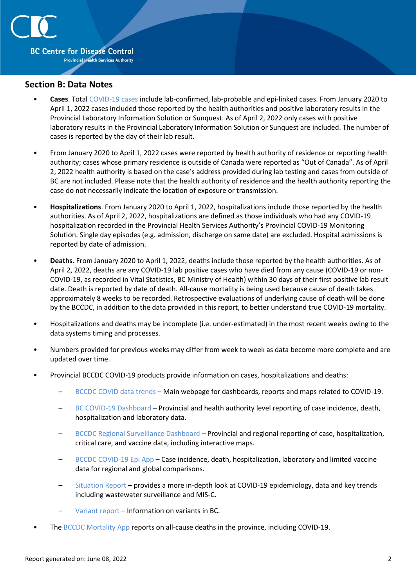

#### **Section B: Data Notes**

- **Cases**. Total [COVID-19 cases](http://www.bccdc.ca/health-professionals/clinical-resources/case-definitions/covid-19-(novel-coronavirus)) include lab-confirmed, lab-probable and epi-linked cases. From January 2020 to April 1, 2022 cases included those reported by the health authorities and positive laboratory results in the Provincial Laboratory Information Solution or Sunquest. As of April 2, 2022 only cases with positive laboratory results in the Provincial Laboratory Information Solution or Sunquest are included. The number of cases is reported by the day of their lab result.
- From January 2020 to April 1, 2022 cases were reported by health authority of residence or reporting health authority; cases whose primary residence is outside of Canada were reported as "Out of Canada". As of April 2, 2022 health authority is based on the case's address provided during lab testing and cases from outside of BC are not included. Please note that the health authority of residence and the health authority reporting the case do not necessarily indicate the location of exposure or transmission.
- **Hospitalizations**. From January 2020 to April 1, 2022, hospitalizations include those reported by the health authorities. As of April 2, 2022, hospitalizations are defined as those individuals who had any COVID-19 hospitalization recorded in the Provincial Health Services Authority's Provincial COVID-19 Monitoring Solution. Single day episodes (e.g. admission, discharge on same date) are excluded. Hospital admissions is reported by date of admission.
- **Deaths**. From January 2020 to April 1, 2022, deaths include those reported by the health authorities. As of April 2, 2022, deaths are any COVID-19 lab positive cases who have died from any cause (COVID-19 or non-COVID-19, as recorded in Vital Statistics, BC Ministry of Health) within 30 days of their first positive lab result date. Death is reported by date of death. All-cause mortality is being used because cause of death takes approximately 8 weeks to be recorded. Retrospective evaluations of underlying cause of death will be done by the BCCDC, in addition to the data provided in this report, to better understand true COVID-19 mortality.
- Hospitalizations and deaths may be incomplete (i.e. under-estimated) in the most recent weeks owing to the data systems timing and processes.
- Numbers provided for previous weeks may differ from week to week as data become more complete and are updated over time.
- Provincial BCCDC COVID-19 products provide information on cases, hospitalizations and deaths:
	- [BCCDC COVID data trends](http://www.bccdc.ca/health-info/diseases-conditions/covid-19/data-trends) Main webpage for dashboards, reports and maps related to COVID-19.
	- [BC COVID-19 Dashboard](https://experience.arcgis.com/experience/a6f23959a8b14bfa989e3cda29297ded) Provincial and health authority level reporting of case incidence, death, hospitalization and laboratory data.
	- [BCCDC Regional Surveillance Dashboard](http://www.bccdc.ca/health-professionals/data-reports/covid-19-surveillance-dashboard) Provincial and regional reporting of case, hospitalization, critical care, and vaccine data, including interactive maps.
	- [BCCDC COVID-19 Epi App](https://bccdc.shinyapps.io/covid19_global_epi_app/) Case incidence, death, hospitalization, laboratory and limited vaccine data for regional and global comparisons.
	- [Situation Report](http://www.bccdc.ca/health-info/diseases-conditions/covid-19/data#Situationreport/) provides a more in-depth look at COVID-19 epidemiology, data and key trends including wastewater surveillance and MIS-C.
	- [Variant report](http://www.bccdc.ca/health-info/diseases-conditions/covid-19/data#variants) Information on variants in BC.
- The [BCCDC Mortality App](https://bccdc.shinyapps.io/Mortality_Context_ShinyApp/) reports on all-cause deaths in the province, including COVID-19.